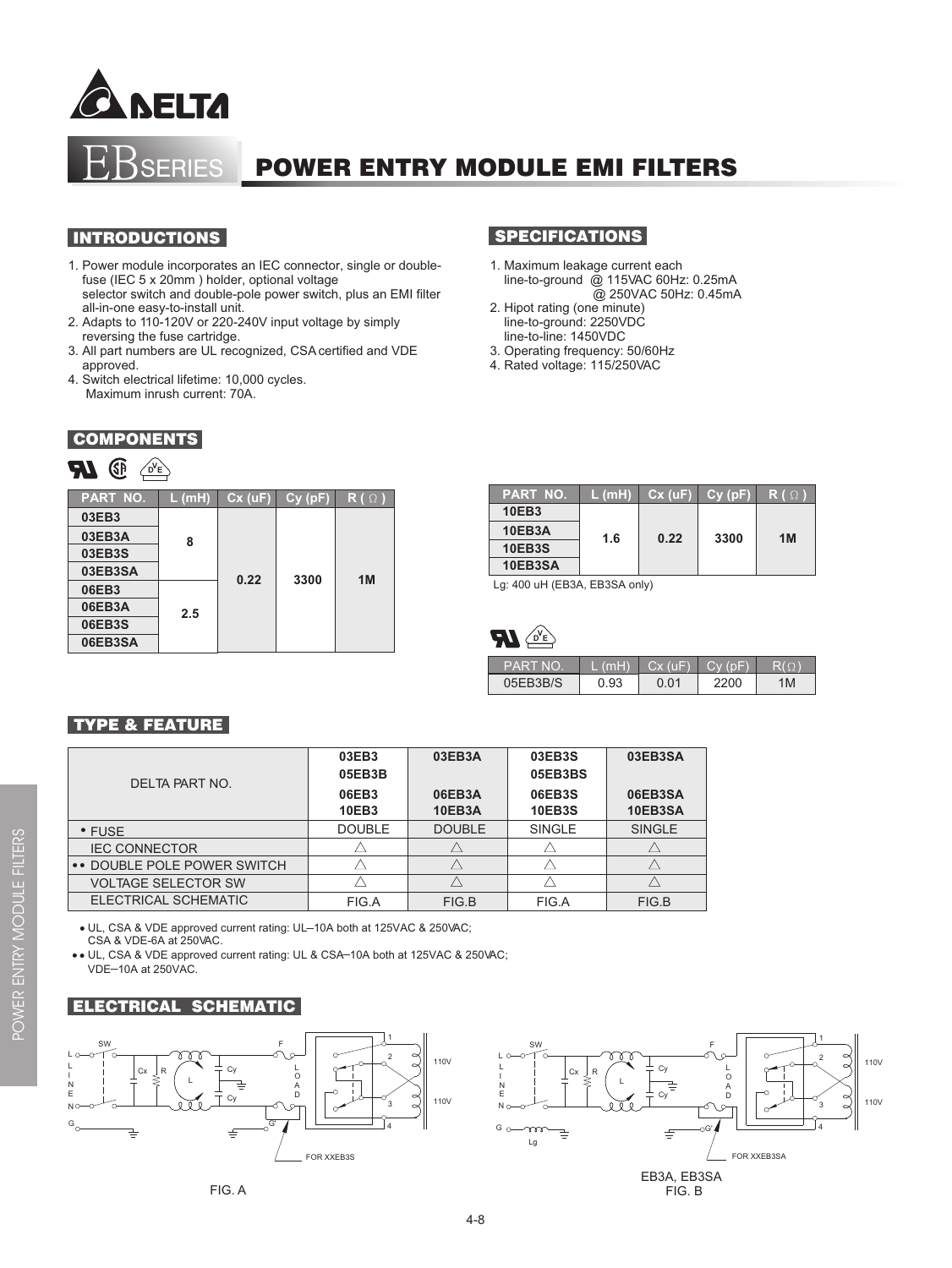



#### INTRODUCTIONS

- 1. Power module incorporates an IEC connector, single or double fuse (IEC 5 x 20mm ) holder, optional voltage selector switch and double-pole power switch, plus an EMI filter all-in-one easy-to-install unit.
- 2. Adapts to 110-120V or 220-240V input voltage by simply reversing the fuse cartridge.
- 3. All part numbers are UL recognized, CSA certified and VDE approved.
- 4. Switch electrical lifetime: 10,000 cycles. Maximum inrush current: 70A.

#### **COMPONENTS**

# $D$ **E** $\setminus$

| <b>PART NO.</b> | $L$ (mH) | $Cx$ (uF) | Cy(pF) | $R(\Omega)$ |  |  |
|-----------------|----------|-----------|--------|-------------|--|--|
| 03EB3           |          |           |        |             |  |  |
| 03EB3A          | 8        |           |        |             |  |  |
| 03EB3S          |          |           |        |             |  |  |
| 03EB3SA         |          | 0.22      | 3300   | 1M          |  |  |
| 06EB3           | 2.5      |           |        |             |  |  |
| 06EB3A          |          |           |        |             |  |  |
| 06EB3S          |          |           |        |             |  |  |
| 06EB3SA         |          |           |        |             |  |  |

# **SPECIFICATIONS**

- 1. Maximum leakage current each line-to-ground @ 115VAC 60Hz: 0.25mA @ 250VAC 50Hz: 0.45mA
- 2. Hipot rating (one minute) line-to-ground: 2250VDC
- line-to-line: 1450VDC
- 3. Operating frequency: 50/60Hz 4. Rated voltage: 115/250VAC

| <b>PART NO.</b> | L (mH) | Cx(uF) | Cv(pF) | $\mathsf{R}$ ( $\Omega$ |  |
|-----------------|--------|--------|--------|-------------------------|--|
| <b>10EB3</b>    |        |        |        |                         |  |
| 10EB3A          | 1.6    | 0.22   | 3300   | 1M                      |  |
| <b>10EB3S</b>   |        |        |        |                         |  |
| 10EB3SA         |        |        |        |                         |  |

Lg: 400 uH (EB3A, EB3SA only)



| <b>PART NO</b> | (m <sub>H</sub> ) | $Cx$ (uF) |      |    |
|----------------|-------------------|-----------|------|----|
| 05EB3B/S       | <b>J.93</b>       | ∩ ∩1      | 2200 | 'M |

## TYPE & FEATURE

| DELTA PART NO.              | 03EB3<br>05EB3B       | 03EB3A                                                                                                                      | 03EB3S<br>05EB3BS | 03EB3SA |
|-----------------------------|-----------------------|-----------------------------------------------------------------------------------------------------------------------------|-------------------|---------|
|                             | 06EB3<br><b>10EB3</b> | 06EB3S<br>06EB3SA<br>06EB3A<br>10EB3SA<br><b>10EB3S</b><br><b>10EB3A</b><br><b>DOUBLE</b><br><b>SINGLE</b><br><b>SINGLE</b> |                   |         |
| $\cdot$ FUSE                | <b>DOUBLE</b>         |                                                                                                                             |                   |         |
| <b>IEC CONNECTOR</b>        |                       |                                                                                                                             |                   |         |
| •• DOUBLE POLE POWER SWITCH |                       |                                                                                                                             |                   |         |
| <b>VOLTAGE SELECTOR SW</b>  |                       |                                                                                                                             |                   |         |
| ELECTRICAL SCHEMATIC        | FIG.A                 | FIG.B                                                                                                                       | FIG.A             | FIG.B   |

3 4 110V

110V

1 2

\_ UL, CSA & VDE approved current rating: UL 10A both at 125VAC & 250VAC; CSA & VDE-6A at 250VAC.

G'

. UL, CSA & VDE approved current rating: UL & CSA-10A both at 125VAC & 250VAC; VDE-10A at 250VAC.

A D

FOR XXEB3S



L



Cy

Q<br>A

 $G_{\rm c}$ 

 $\equiv$ 

N E

N